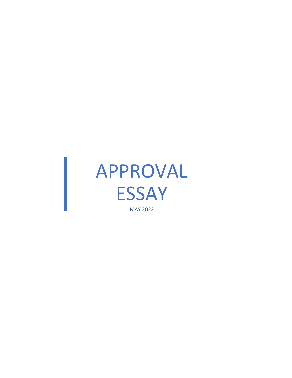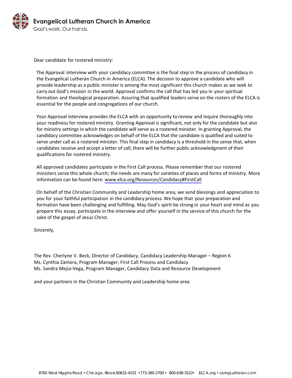

Dear candidate for rostered ministry:

The Approval interview with your candidacy committee is the final step in the process of candidacy in the Evangelical Lutheran Church in America (ELCA). The decision to approve a candidate who will provide leadership as a public minister is among the most significant this church makes as we seek to carry out God's mission in the world. Approval confirms the call that has led you in your spiritual formation and theological preparation. Assuring that qualified leaders serve on the rosters of the ELCA is essential for the people and congregations of our church.

Your Approval interview provides the ELCA with an opportunity to review and inquire thoroughly into your readiness for rostered ministry. Granting Approval is significant, not only for the candidate but also for ministry settings in which the candidate will serve as a rostered minister. In granting Approval, the candidacy committee acknowledges on behalf of the ELCA that the candidate is qualified and suited to serve under call as a rostered minister. This final step in candidacy is a threshold in the sense that, when candidates receive and accept a letter of call, there will be further public acknowledgment of their qualifications for rostered ministry.

All approved candidates participate in the First Call process. Please remember that our rostered ministers serve this whole church; the needs are many for varieties of places and forms of ministry. More information can be found here: [www.elca.org/Resources/Candidacy#FirstCall](https://www.elca.org/Resources/Candidacy#FirstCall)

On behalf of the Christian Community and Leadership home area, we send blessings and appreciation to you for your faithful participation in the candidacy process. We hope that your preparation and formation have been challenging and fulfilling. May God's spirit be strong in your heart and mind as you prepare this essay, participate in the interview and offer yourself in the service of this church for the sake of the gospel of Jesus Christ.

Sincerely,

The Rev. Cherlyne V. Beck, Director of Candidacy, Candidacy Leadership Manager – Region 6 Ms. Cynthia Zamora, Program Manager, First Call Process and Candidacy Ms. Sandra Mejia-Vega, Program Manager, Candidacy Data and Resource Development

and your partners in the Christian Community and Leadership home area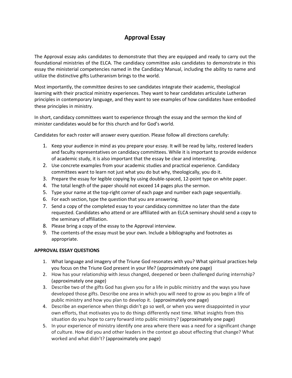## Approval Essay

The Approval essay asks candidates to demonstrate that they are equipped and ready to carry out the foundational ministries of the ELCA. The candidacy committee asks candidates to demonstrate in this essay the ministerial competencies named in the Candidacy Manual, including the ability to name and utilize the distinctive gifts Lutheranism brings to the world.

Most importantly, the committee desires to see candidates integrate their academic, theological learning with their practical ministry experiences. They want to hear candidates articulate Lutheran principles in contemporary language, and they want to see examples of how candidates have embodied these principles in ministry.

In short, candidacy committees want to experience through the essay and the sermon the kind of minister candidates would be for this church and for God's world.

Candidates for each roster will answer every question. Please follow all directions carefully:

- 1. Keep your audience in mind as you prepare your essay. It will be read by laity, rostered leaders and faculty representatives on candidacy committees. While it is important to provide evidence of academic study, it is also important that the essay be clear and interesting.
- 2. Use concrete examples from your academic studies and practical experience. Candidacy committees want to learn not just what you do but why, theologically, you do it.
- 3. Prepare the essay for legible copying by using double-spaced, 12-point type on white paper.
- 4. The total length of the paper should not exceed 14 pages plus the sermon.
- 5. Type your name at the top-right corner of each page and number each page sequentially.
- 6. For each section, type the question that you are answering.
- 7. Send a copy of the completed essay to your candidacy committee no later than the date requested. Candidates who attend or are affiliated with an ELCA seminary should send a copy to the seminary of affiliation.
- 8. Please bring a copy of the essay to the Approval interview.
- 9. The contents of the essay must be your own. Include a bibliography and footnotes as appropriate.

## **APPROVAL ESSAY QUESTIONS**

- 1. What language and imagery of the Triune God resonates with you? What spiritual practices help you focus on the Triune God present in your life? (approximately one page)
- 2. How has your relationship with Jesus changed, deepened or been challenged during internship? (approximately one page)
- 3. Describe two of the gifts God has given you for a life in public ministry and the ways you have developed those gifts. Describe one area in which you will need to grow as you begin a life of public ministry and how you plan to develop it. (approximately one page)
- 4. Describe an experience when things didn't go so well, or when you were disappointed in your own efforts, that motivates you to do things differently next time. What insights from this situation do you hope to carry forward into public ministry? (approximately one page)
- 5. In your experience of ministry identify one area where there was a need for a significant change of culture. How did you and other leaders in the context go about effecting that change? What worked and what didn't? (approximately one page)